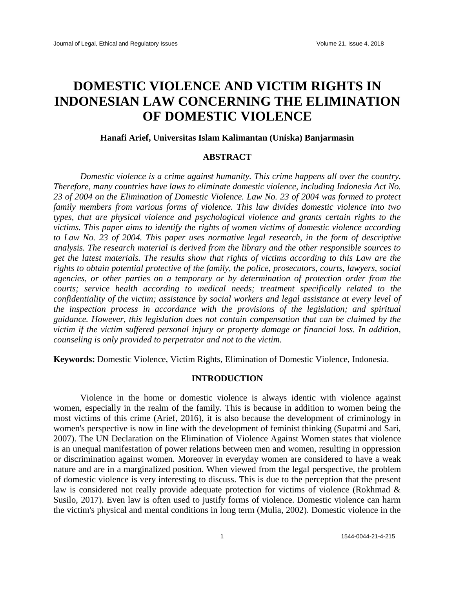# **DOMESTIC VIOLENCE AND VICTIM RIGHTS IN INDONESIAN LAW CONCERNING THE ELIMINATION OF DOMESTIC VIOLENCE**

# **Hanafi Arief, Universitas Islam Kalimantan (Uniska) Banjarmasin**

# **ABSTRACT**

*Domestic violence is a crime against humanity. This crime happens all over the country. Therefore, many countries have laws to eliminate domestic violence, including Indonesia Act No. 23 of 2004 on the Elimination of Domestic Violence. Law No. 23 of 2004 was formed to protect family members from various forms of violence. This law divides domestic violence into two types, that are physical violence and psychological violence and grants certain rights to the victims. This paper aims to identify the rights of women victims of domestic violence according to Law No. 23 of 2004. This paper uses normative legal research, in the form of descriptive analysis. The research material is derived from the library and the other responsible sources to get the latest materials. The results show that rights of victims according to this Law are the rights to obtain potential protective of the family, the police, prosecutors, courts, lawyers, social agencies, or other parties on a temporary or by determination of protection order from the courts; service health according to medical needs; treatment specifically related to the confidentiality of the victim; assistance by social workers and legal assistance at every level of the inspection process in accordance with the provisions of the legislation; and spiritual guidance. However, this legislation does not contain compensation that can be claimed by the victim if the victim suffered personal injury or property damage or financial loss. In addition, counseling is only provided to perpetrator and not to the victim.*

**Keywords:** Domestic Violence, Victim Rights, Elimination of Domestic Violence, Indonesia.

## **INTRODUCTION**

Violence in the home or domestic violence is always identic with violence against women, especially in the realm of the family. This is because in addition to women being the most victims of this crime (Arief, 2016), it is also because the development of criminology in women's perspective is now in line with the development of feminist thinking (Supatmi and Sari, 2007). The UN Declaration on the Elimination of Violence Against Women states that violence is an unequal manifestation of power relations between men and women, resulting in oppression or discrimination against women. Moreover in everyday women are considered to have a weak nature and are in a marginalized position. When viewed from the legal perspective, the problem of domestic violence is very interesting to discuss. This is due to the perception that the present law is considered not really provide adequate protection for victims of violence (Rokhmad & Susilo, 2017). Even law is often used to justify forms of violence. Domestic violence can harm the victim's physical and mental conditions in long term (Mulia, 2002). Domestic violence in the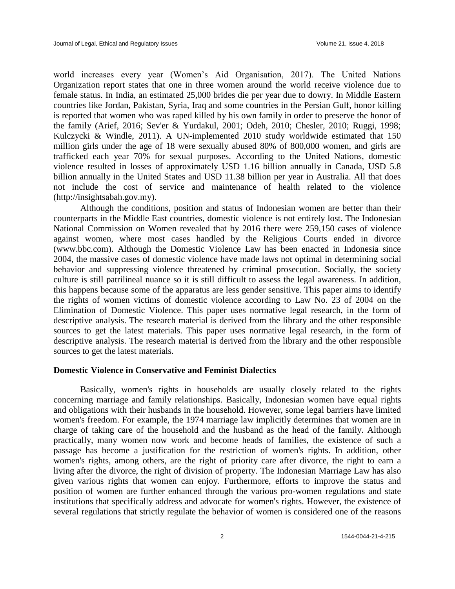world increases every year (Women's Aid Organisation, 2017). The United Nations Organization report states that one in three women around the world receive violence due to female status. In India, an estimated 25,000 brides die per year due to dowry. In Middle Eastern countries like Jordan, Pakistan, Syria, Iraq and some countries in the Persian Gulf, honor killing is reported that women who was raped killed by his own family in order to preserve the honor of the family (Arief, 2016; Sev'er & Yurdakul, 2001; Odeh, 2010; Chesler, 2010; Ruggi, 1998; Kulczycki & Windle, 2011). A UN-implemented 2010 study worldwide estimated that 150 million girls under the age of 18 were sexually abused 80% of 800,000 women, and girls are trafficked each year 70% for sexual purposes. According to the United Nations, domestic violence resulted in losses of approximately USD 1.16 billion annually in Canada, USD 5.8 billion annually in the United States and USD 11.38 billion per year in Australia. All that does not include the cost of service and maintenance of health related to the violence (http://insightsabah.gov.my).

Although the conditions, position and status of Indonesian women are better than their counterparts in the Middle East countries, domestic violence is not entirely lost. The Indonesian National Commission on Women revealed that by 2016 there were 259,150 cases of violence against women, where most cases handled by the Religious Courts ended in divorce (www.bbc.com). Although the Domestic Violence Law has been enacted in Indonesia since 2004, the massive cases of domestic violence have made laws not optimal in determining social behavior and suppressing violence threatened by criminal prosecution. Socially, the society culture is still patrilineal nuance so it is still difficult to assess the legal awareness. In addition, this happens because some of the apparatus are less gender sensitive. This paper aims to identify the rights of women victims of domestic violence according to Law No. 23 of 2004 on the Elimination of Domestic Violence. This paper uses normative legal research, in the form of descriptive analysis. The research material is derived from the library and the other responsible sources to get the latest materials. This paper uses normative legal research, in the form of descriptive analysis. The research material is derived from the library and the other responsible sources to get the latest materials.

#### **Domestic Violence in Conservative and Feminist Dialectics**

Basically, women's rights in households are usually closely related to the rights concerning marriage and family relationships. Basically, Indonesian women have equal rights and obligations with their husbands in the household. However, some legal barriers have limited women's freedom. For example, the 1974 marriage law implicitly determines that women are in charge of taking care of the household and the husband as the head of the family. Although practically, many women now work and become heads of families, the existence of such a passage has become a justification for the restriction of women's rights. In addition, other women's rights, among others, are the right of priority care after divorce, the right to earn a living after the divorce, the right of division of property. The Indonesian Marriage Law has also given various rights that women can enjoy. Furthermore, efforts to improve the status and position of women are further enhanced through the various pro-women regulations and state institutions that specifically address and advocate for women's rights. However, the existence of several regulations that strictly regulate the behavior of women is considered one of the reasons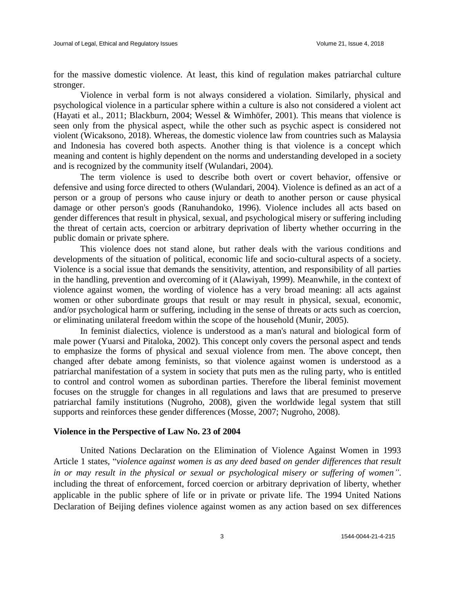for the massive domestic violence. At least, this kind of regulation makes patriarchal culture stronger.

Violence in verbal form is not always considered a violation. Similarly, physical and psychological violence in a particular sphere within a culture is also not considered a violent act (Hayati et al., 2011; Blackburn, 2004; Wessel & Wimhöfer, 2001). This means that violence is seen only from the physical aspect, while the other such as psychic aspect is considered not violent (Wicaksono, 2018). Whereas, the domestic violence law from countries such as Malaysia and Indonesia has covered both aspects. Another thing is that violence is a concept which meaning and content is highly dependent on the norms and understanding developed in a society and is recognized by the community itself (Wulandari, 2004).

The term violence is used to describe both overt or covert behavior, offensive or defensive and using force directed to others (Wulandari, 2004). Violence is defined as an act of a person or a group of persons who cause injury or death to another person or cause physical damage or other person's goods (Ranuhandoko, 1996). Violence includes all acts based on gender differences that result in physical, sexual, and psychological misery or suffering including the threat of certain acts, coercion or arbitrary deprivation of liberty whether occurring in the public domain or private sphere.

This violence does not stand alone, but rather deals with the various conditions and developments of the situation of political, economic life and socio-cultural aspects of a society. Violence is a social issue that demands the sensitivity, attention, and responsibility of all parties in the handling, prevention and overcoming of it (Alawiyah, 1999). Meanwhile, in the context of violence against women, the wording of violence has a very broad meaning: all acts against women or other subordinate groups that result or may result in physical, sexual, economic, and/or psychological harm or suffering, including in the sense of threats or acts such as coercion, or eliminating unilateral freedom within the scope of the household (Munir, 2005).

In feminist dialectics, violence is understood as a man's natural and biological form of male power (Yuarsi and Pitaloka, 2002). This concept only covers the personal aspect and tends to emphasize the forms of physical and sexual violence from men. The above concept, then changed after debate among feminists, so that violence against women is understood as a patriarchal manifestation of a system in society that puts men as the ruling party, who is entitled to control and control women as subordinan parties. Therefore the liberal feminist movement focuses on the struggle for changes in all regulations and laws that are presumed to preserve patriarchal family institutions (Nugroho, 2008), given the worldwide legal system that still supports and reinforces these gender differences (Mosse, 2007; Nugroho, 2008).

## **Violence in the Perspective of Law No. 23 of 2004**

United Nations Declaration on the Elimination of Violence Against Women in 1993 Article 1 states, "*violence against women is as any deed based on gender differences that result in or may result in the physical or sexual or psychological misery or suffering of women"*. including the threat of enforcement, forced coercion or arbitrary deprivation of liberty, whether applicable in the public sphere of life or in private or private life. The 1994 United Nations Declaration of Beijing defines violence against women as any action based on sex differences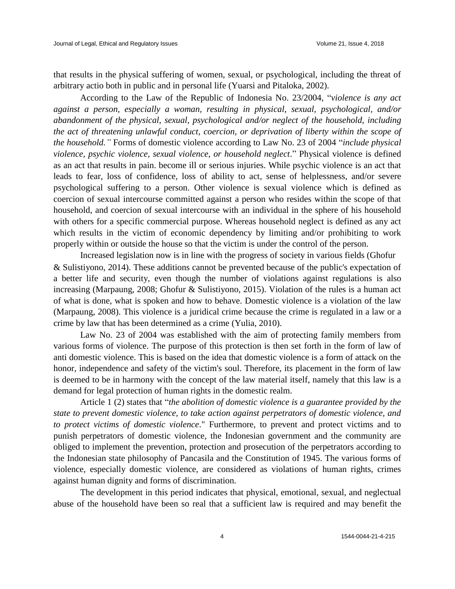that results in the physical suffering of women, sexual, or psychological, including the threat of arbitrary actio both in public and in personal life (Yuarsi and Pitaloka, 2002).

According to the Law of the Republic of Indonesia No. 23/2004, "*violence is any act against a person, especially a woman, resulting in physical, sexual, psychological, and/or abandonment of the physical, sexual, psychological and/or neglect of the household, including the act of threatening unlawful conduct, coercion, or deprivation of liberty within the scope of the household."* Forms of domestic violence according to Law No. 23 of 2004 "*include physical violence, psychic violence, sexual violence, or household neglect*." Physical violence is defined as an act that results in pain. become ill or serious injuries. While psychic violence is an act that leads to fear, loss of confidence, loss of ability to act, sense of helplessness, and/or severe psychological suffering to a person. Other violence is sexual violence which is defined as coercion of sexual intercourse committed against a person who resides within the scope of that household, and coercion of sexual intercourse with an individual in the sphere of his household with others for a specific commercial purpose. Whereas household neglect is defined as any act which results in the victim of economic dependency by limiting and/or prohibiting to work properly within or outside the house so that the victim is under the control of the person.

Increased legislation now is in line with the progress of society in various fields (Ghofur & Sulistiyono, 2014). These additions cannot be prevented because of the public's expectation of a better life and security, even though the number of violations against regulations is also increasing (Marpaung, 2008; Ghofur & Sulistiyono, 2015). Violation of the rules is a human act of what is done, what is spoken and how to behave. Domestic violence is a violation of the law (Marpaung, 2008). This violence is a juridical crime because the crime is regulated in a law or a crime by law that has been determined as a crime (Yulia, 2010).

Law No. 23 of 2004 was established with the aim of protecting family members from various forms of violence. The purpose of this protection is then set forth in the form of law of anti domestic violence. This is based on the idea that domestic violence is a form of attack on the honor, independence and safety of the victim's soul. Therefore, its placement in the form of law is deemed to be in harmony with the concept of the law material itself, namely that this law is a demand for legal protection of human rights in the domestic realm.

Article 1 (2) states that "*the abolition of domestic violence is a guarantee provided by the state to prevent domestic violence, to take action against perpetrators of domestic violence, and to protect victims of domestic violence*." Furthermore, to prevent and protect victims and to punish perpetrators of domestic violence, the Indonesian government and the community are obliged to implement the prevention, protection and prosecution of the perpetrators according to the Indonesian state philosophy of Pancasila and the Constitution of 1945. The various forms of violence, especially domestic violence, are considered as violations of human rights, crimes against human dignity and forms of discrimination.

The development in this period indicates that physical, emotional, sexual, and neglectual abuse of the household have been so real that a sufficient law is required and may benefit the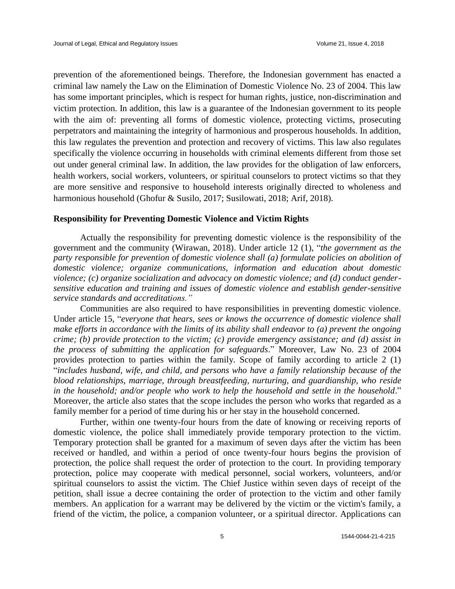prevention of the aforementioned beings. Therefore, the Indonesian government has enacted a criminal law namely the Law on the Elimination of Domestic Violence No. 23 of 2004. This law has some important principles, which is respect for human rights, justice, non-discrimination and victim protection. In addition, this law is a guarantee of the Indonesian government to its people with the aim of: preventing all forms of domestic violence, protecting victims, prosecuting perpetrators and maintaining the integrity of harmonious and prosperous households. In addition, this law regulates the prevention and protection and recovery of victims. This law also regulates specifically the violence occurring in households with criminal elements different from those set out under general criminal law. In addition, the law provides for the obligation of law enforcers, health workers, social workers, volunteers, or spiritual counselors to protect victims so that they are more sensitive and responsive to household interests originally directed to wholeness and harmonious household (Ghofur & Susilo, 2017; Susilowati, 2018; Arif, 2018).

# **Responsibility for Preventing Domestic Violence and Victim Rights**

Actually the responsibility for preventing domestic violence is the responsibility of the government and the community (Wirawan, 2018). Under article 12 (1), "*the government as the party responsible for prevention of domestic violence shall (a) formulate policies on abolition of domestic violence; organize communications, information and education about domestic violence; (c) organize socialization and advocacy on domestic violence; and (d) conduct gendersensitive education and training and issues of domestic violence and establish gender-sensitive service standards and accreditations."*

Communities are also required to have responsibilities in preventing domestic violence. Under article 15, "*everyone that hears, sees or knows the occurrence of domestic violence shall make efforts in accordance with the limits of its ability shall endeavor to (a) prevent the ongoing crime; (b) provide protection to the victim; (c) provide emergency assistance; and (d) assist in the process of submitting the application for safeguards*." Moreover, Law No. 23 of 2004 provides protection to parties within the family. Scope of family according to article 2 (1) "*includes husband, wife, and child, and persons who have a family relationship because of the blood relationships, marriage, through breastfeeding, nurturing, and guardianship, who reside in the household; and/or people who work to help the household and settle in the household*." Moreover, the article also states that the scope includes the person who works that regarded as a family member for a period of time during his or her stay in the household concerned.

Further, within one twenty-four hours from the date of knowing or receiving reports of domestic violence, the police shall immediately provide temporary protection to the victim. Temporary protection shall be granted for a maximum of seven days after the victim has been received or handled, and within a period of once twenty-four hours begins the provision of protection, the police shall request the order of protection to the court. In providing temporary protection, police may cooperate with medical personnel, social workers, volunteers, and/or spiritual counselors to assist the victim. The Chief Justice within seven days of receipt of the petition, shall issue a decree containing the order of protection to the victim and other family members. An application for a warrant may be delivered by the victim or the victim's family, a friend of the victim, the police, a companion volunteer, or a spiritual director. Applications can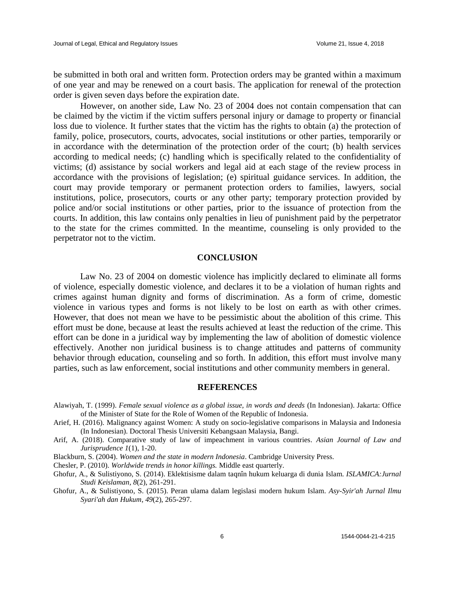be submitted in both oral and written form. Protection orders may be granted within a maximum of one year and may be renewed on a court basis. The application for renewal of the protection order is given seven days before the expiration date.

However, on another side, Law No. 23 of 2004 does not contain compensation that can be claimed by the victim if the victim suffers personal injury or damage to property or financial loss due to violence. It further states that the victim has the rights to obtain (a) the protection of family, police, prosecutors, courts, advocates, social institutions or other parties, temporarily or in accordance with the determination of the protection order of the court; (b) health services according to medical needs; (c) handling which is specifically related to the confidentiality of victims; (d) assistance by social workers and legal aid at each stage of the review process in accordance with the provisions of legislation; (e) spiritual guidance services. In addition, the court may provide temporary or permanent protection orders to families, lawyers, social institutions, police, prosecutors, courts or any other party; temporary protection provided by police and/or social institutions or other parties, prior to the issuance of protection from the courts. In addition, this law contains only penalties in lieu of punishment paid by the perpetrator to the state for the crimes committed. In the meantime, counseling is only provided to the perpetrator not to the victim.

# **CONCLUSION**

Law No. 23 of 2004 on domestic violence has implicitly declared to eliminate all forms of violence, especially domestic violence, and declares it to be a violation of human rights and crimes against human dignity and forms of discrimination. As a form of crime, domestic violence in various types and forms is not likely to be lost on earth as with other crimes. However, that does not mean we have to be pessimistic about the abolition of this crime. This effort must be done, because at least the results achieved at least the reduction of the crime. This effort can be done in a juridical way by implementing the law of abolition of domestic violence effectively. Another non juridical business is to change attitudes and patterns of community behavior through education, counseling and so forth. In addition, this effort must involve many parties, such as law enforcement, social institutions and other community members in general.

#### **REFERENCES**

- Alawiyah, T. (1999). *Female sexual violence as a global issue, in words and deeds* (In Indonesian). Jakarta: Office of the Minister of State for the Role of Women of the Republic of Indonesia.
- Arief, H. (2016). Malignancy against Women: A study on socio-legislative comparisons in Malaysia and Indonesia (In Indonesian). Doctoral Thesis Universiti Kebangsaan Malaysia, Bangi.
- Arif, A. (2018). Comparative study of law of impeachment in various countries. *Asian Journal of Law and Jurisprudence 1*(1), 1-20.
- Blackburn, S. (2004). *Women and the state in modern Indonesia*. Cambridge University Press.
- Chesler, P. (2010). *Worldwide trends in honor killings.* Middle east quarterly.
- Ghofur, A., & Sulistiyono, S. (2014). Eklektisisme dalam taqnîn hukum keluarga di dunia Islam. *ISLAMICA:Jurnal Studi Keislaman*, *8*(2), 261-291.
- Ghofur, A., & Sulistiyono, S. (2015). Peran ulama dalam legislasi modern hukum Islam. *Asy-Syir'ah Jurnal Ilmu Syari'ah dan Hukum*, *49*(2), 265-297.